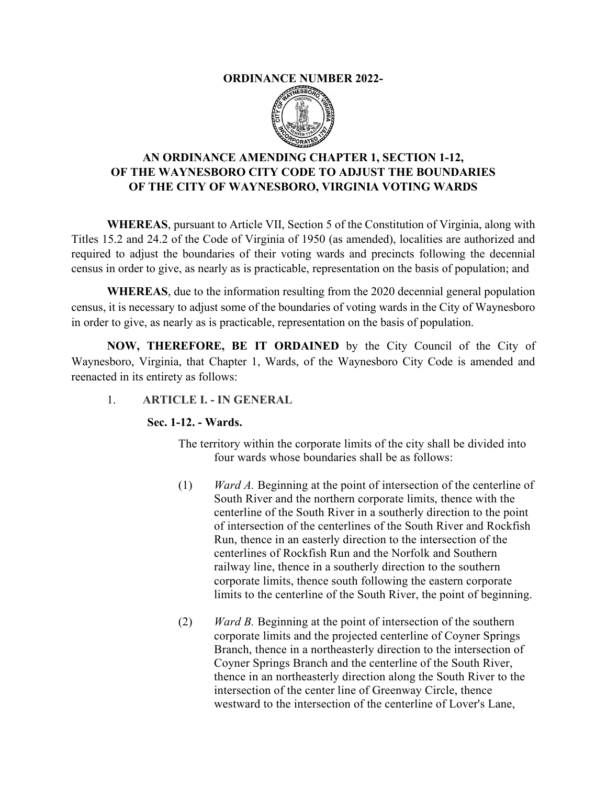#### **ORDINANCE NUMBER 2022-**



# **AN ORDINANCE AMENDING CHAPTER 1, SECTION 1-12, OF THE WAYNESBORO CITY CODE TO ADJUST THE BOUNDARIES OF THE CITY OF WAYNESBORO, VIRGINIA VOTING WARDS**

**WHEREAS**, pursuant to Article VII, Section 5 of the Constitution of Virginia, along with Titles 15.2 and 24.2 of the Code of Virginia of 1950 (as amended), localities are authorized and required to adjust the boundaries of their voting wards and precincts following the decennial census in order to give, as nearly as is practicable, representation on the basis of population; and

**WHEREAS**, due to the information resulting from the 2020 decennial general population census, it is necessary to adjust some of the boundaries of voting wards in the City of Waynesboro in order to give, as nearly as is practicable, representation on the basis of population.

**NOW, THEREFORE, BE IT ORDAINED** by the City Council of the City of Waynesboro, Virginia, that Chapter 1, Wards, of the Waynesboro City Code is amended and reenacted in its entirety as follows:

### 1. **ARTICLE I. - IN GENERAL**

### **Sec. 1-12. - Wards.**

- The territory within the corporate limits of the city shall be divided into four wards whose boundaries shall be as follows:
- (1) *Ward A.* Beginning at the point of intersection of the centerline of South River and the northern corporate limits, thence with the centerline of the South River in a southerly direction to the point of intersection of the centerlines of the South River and Rockfish Run, thence in an easterly direction to the intersection of the centerlines of Rockfish Run and the Norfolk and Southern railway line, thence in a southerly direction to the southern corporate limits, thence south following the eastern corporate limits to the centerline of the South River, the point of beginning.
- (2) *Ward B.* Beginning at the point of intersection of the southern corporate limits and the projected centerline of Coyner Springs Branch, thence in a northeasterly direction to the intersection of Coyner Springs Branch and the centerline of the South River, thence in an northeasterly direction along the South River to the intersection of the center line of Greenway Circle, thence westward to the intersection of the centerline of Lover's Lane,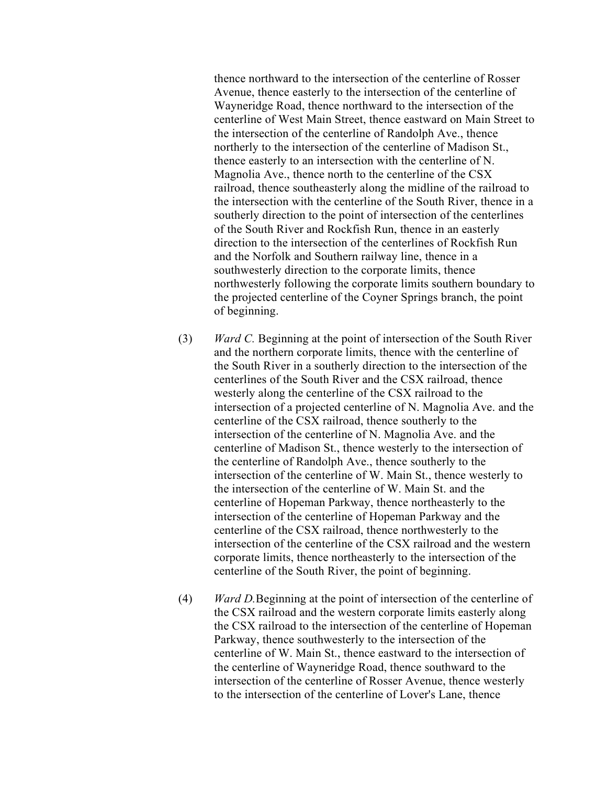thence northward to the intersection of the centerline of Rosser Avenue, thence easterly to the intersection of the centerline of Wayneridge Road, thence northward to the intersection of the centerline of West Main Street, thence eastward on Main Street to the intersection of the centerline of Randolph Ave., thence northerly to the intersection of the centerline of Madison St., thence easterly to an intersection with the centerline of N. Magnolia Ave., thence north to the centerline of the CSX railroad, thence southeasterly along the midline of the railroad to the intersection with the centerline of the South River, thence in a southerly direction to the point of intersection of the centerlines of the South River and Rockfish Run, thence in an easterly direction to the intersection of the centerlines of Rockfish Run and the Norfolk and Southern railway line, thence in a southwesterly direction to the corporate limits, thence northwesterly following the corporate limits southern boundary to the projected centerline of the Coyner Springs branch, the point of beginning.

- (3) *Ward C.* Beginning at the point of intersection of the South River and the northern corporate limits, thence with the centerline of the South River in a southerly direction to the intersection of the centerlines of the South River and the CSX railroad, thence westerly along the centerline of the CSX railroad to the intersection of a projected centerline of N. Magnolia Ave. and the centerline of the CSX railroad, thence southerly to the intersection of the centerline of N. Magnolia Ave. and the centerline of Madison St., thence westerly to the intersection of the centerline of Randolph Ave., thence southerly to the intersection of the centerline of W. Main St., thence westerly to the intersection of the centerline of W. Main St. and the centerline of Hopeman Parkway, thence northeasterly to the intersection of the centerline of Hopeman Parkway and the centerline of the CSX railroad, thence northwesterly to the intersection of the centerline of the CSX railroad and the western corporate limits, thence northeasterly to the intersection of the centerline of the South River, the point of beginning.
- (4) *Ward D.*Beginning at the point of intersection of the centerline of the CSX railroad and the western corporate limits easterly along the CSX railroad to the intersection of the centerline of Hopeman Parkway, thence southwesterly to the intersection of the centerline of W. Main St., thence eastward to the intersection of the centerline of Wayneridge Road, thence southward to the intersection of the centerline of Rosser Avenue, thence westerly to the intersection of the centerline of Lover's Lane, thence